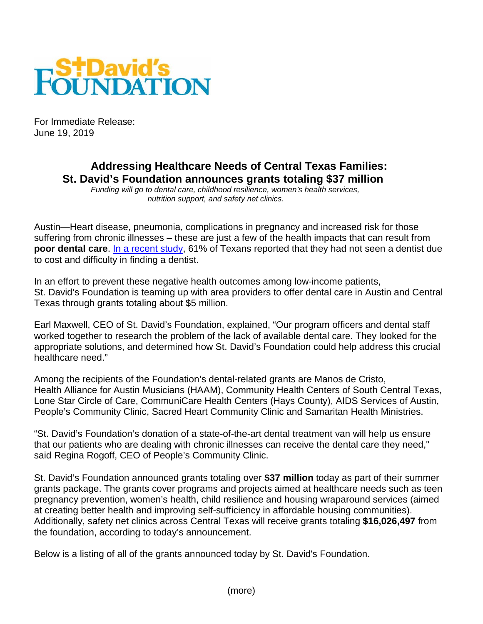

For Immediate Release: June 19, 2019

## **Addressing Healthcare Needs of Central Texas Families: St. David's Foundation announces grants totaling \$37 million**

*Funding will go to dental care, childhood resilience, women's health services, nutrition support, and safety net clinics.*

Austin—Heart disease, pneumonia, complications in pregnancy and increased risk for those suffering from chronic illnesses – these are just a few of the health impacts that can result from **poor dental care**. [In a recent study,](http://healthdata.dshs.texas.gov/Home) 61% of Texans reported that they had not seen a dentist due to cost and difficulty in finding a dentist.

In an effort to prevent these negative health outcomes among low-income patients, St. David's Foundation is teaming up with area providers to offer dental care in Austin and Central Texas through grants totaling about \$5 million.

Earl Maxwell, CEO of St. David's Foundation, explained, "Our program officers and dental staff worked together to research the problem of the lack of available dental care. They looked for the appropriate solutions, and determined how St. David's Foundation could help address this crucial healthcare need."

Among the recipients of the Foundation's dental-related grants are Manos de Cristo, Health Alliance for Austin Musicians (HAAM), Community Health Centers of South Central Texas, Lone Star Circle of Care, CommuniCare Health Centers (Hays County), AIDS Services of Austin, People's Community Clinic, Sacred Heart Community Clinic and Samaritan Health Ministries.

"St. David's Foundation's donation of a state-of-the-art dental treatment van will help us ensure that our patients who are dealing with chronic illnesses can receive the dental care they need," said Regina Rogoff, CEO of People's Community Clinic.

St. David's Foundation announced grants totaling over **\$37 million** today as part of their summer grants package. The grants cover programs and projects aimed at healthcare needs such as teen pregnancy prevention, women's health, child resilience and housing wraparound services (aimed at creating better health and improving self-sufficiency in affordable housing communities). Additionally, safety net clinics across Central Texas will receive grants totaling **\$16,026,497** from the foundation, according to today's announcement.

Below is a listing of all of the grants announced today by St. David's Foundation.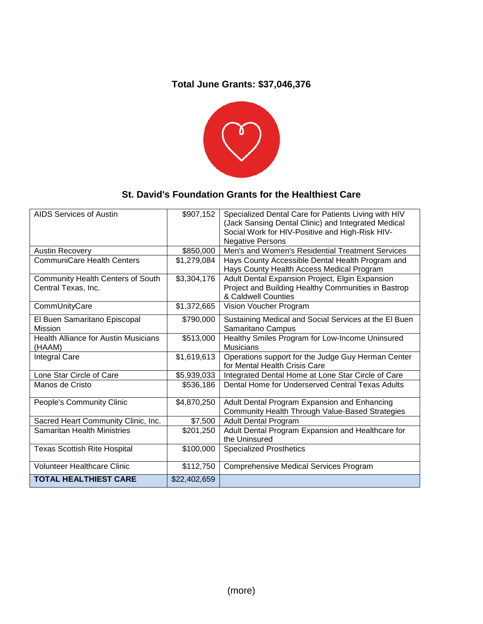## **Total June Grants: \$37,046,376**



### **St. David's Foundation Grants for the Healthiest Care**

| AIDS Services of Austin                                         | \$907,152    | Specialized Dental Care for Patients Living with HIV<br>(Jack Sansing Dental Clinic) and Integrated Medical<br>Social Work for HIV-Positive and High-Risk HIV-<br><b>Negative Persons</b> |
|-----------------------------------------------------------------|--------------|-------------------------------------------------------------------------------------------------------------------------------------------------------------------------------------------|
| <b>Austin Recovery</b>                                          | \$850,000    | Men's and Women's Residential Treatment Services                                                                                                                                          |
| CommuniCare Health Centers                                      | \$1,279,084  | Hays County Accessible Dental Health Program and<br>Hays County Health Access Medical Program                                                                                             |
| <b>Community Health Centers of South</b><br>Central Texas, Inc. | \$3,304,176  | Adult Dental Expansion Project, Elgin Expansion<br>Project and Building Healthy Communities in Bastrop<br>& Caldwell Counties                                                             |
| CommUnityCare                                                   | \$1,372,665  | Vision Voucher Program                                                                                                                                                                    |
| El Buen Samaritano Episcopal<br>Mission                         | \$790,000    | Sustaining Medical and Social Services at the El Buen<br>Samaritano Campus                                                                                                                |
| <b>Health Alliance for Austin Musicians</b><br>(HAAM)           | \$513,000    | Healthy Smiles Program for Low-Income Uninsured<br><b>Musicians</b>                                                                                                                       |
| Integral Care                                                   | \$1,619,613  | Operations support for the Judge Guy Herman Center<br>for Mental Health Crisis Care                                                                                                       |
| Lone Star Circle of Care                                        | \$5,939,033  | Integrated Dental Home at Lone Star Circle of Care                                                                                                                                        |
| Manos de Cristo                                                 | \$536,186    | Dental Home for Underserved Central Texas Adults                                                                                                                                          |
| People's Community Clinic                                       | \$4,870,250  | Adult Dental Program Expansion and Enhancing<br>Community Health Through Value-Based Strategies                                                                                           |
| Sacred Heart Community Clinic, Inc.                             | \$7,500      | <b>Adult Dental Program</b>                                                                                                                                                               |
| <b>Samaritan Health Ministries</b>                              | \$201,250    | Adult Dental Program Expansion and Healthcare for<br>the Uninsured                                                                                                                        |
| <b>Texas Scottish Rite Hospital</b>                             | \$100,000    | <b>Specialized Prosthetics</b>                                                                                                                                                            |
| <b>Volunteer Healthcare Clinic</b>                              | \$112,750    | <b>Comprehensive Medical Services Program</b>                                                                                                                                             |
| <b>TOTAL HEALTHIEST CARE</b>                                    | \$22,402,659 |                                                                                                                                                                                           |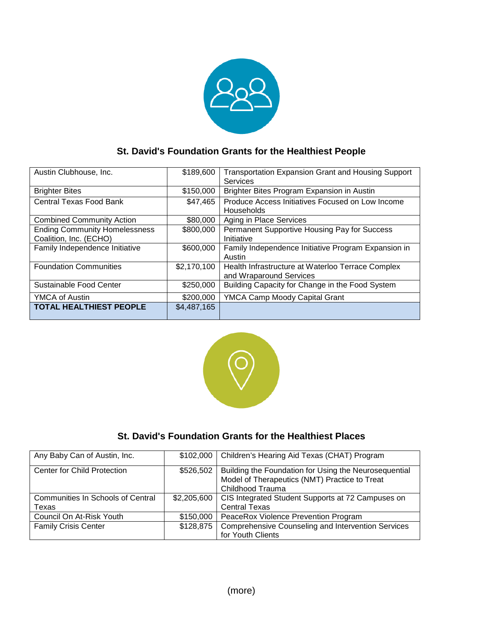

# **St. David's Foundation Grants for the Healthiest People**

| Austin Clubhouse, Inc.               | \$189,600   | <b>Transportation Expansion Grant and Housing Support</b><br><b>Services</b> |
|--------------------------------------|-------------|------------------------------------------------------------------------------|
| <b>Brighter Bites</b>                | \$150,000   | Brighter Bites Program Expansion in Austin                                   |
| Central Texas Food Bank              | \$47,465    | Produce Access Initiatives Focused on Low Income<br>Households               |
| <b>Combined Community Action</b>     | \$80,000    | Aging in Place Services                                                      |
| <b>Ending Community Homelessness</b> | \$800,000   | Permanent Supportive Housing Pay for Success                                 |
| Coalition, Inc. (ECHO)               |             | Initiative                                                                   |
| Family Independence Initiative       | \$600,000   | Family Independence Initiative Program Expansion in<br>Austin                |
| <b>Foundation Communities</b>        | \$2,170,100 | Health Infrastructure at Waterloo Terrace Complex<br>and Wraparound Services |
| Sustainable Food Center              | \$250,000   | Building Capacity for Change in the Food System                              |
| <b>YMCA of Austin</b>                | \$200,000   | YMCA Camp Moody Capital Grant                                                |
| <b>TOTAL HEALTHIEST PEOPLE</b>       | \$4,487,165 |                                                                              |



### **St. David's Foundation Grants for the Healthiest Places**

| Any Baby Can of Austin, Inc.             | \$102,000   | Children's Hearing Aid Texas (CHAT) Program                                                                                |
|------------------------------------------|-------------|----------------------------------------------------------------------------------------------------------------------------|
| Center for Child Protection              | \$526,502   | Building the Foundation for Using the Neurosequential<br>Model of Therapeutics (NMT) Practice to Treat<br>Childhood Trauma |
| <b>Communities In Schools of Central</b> | \$2,205,600 | CIS Integrated Student Supports at 72 Campuses on                                                                          |
| Texas                                    |             | <b>Central Texas</b>                                                                                                       |
| Council On At-Risk Youth                 | \$150,000   | PeaceRox Violence Prevention Program                                                                                       |
| <b>Family Crisis Center</b>              | \$128,875   | Comprehensive Counseling and Intervention Services<br>for Youth Clients                                                    |